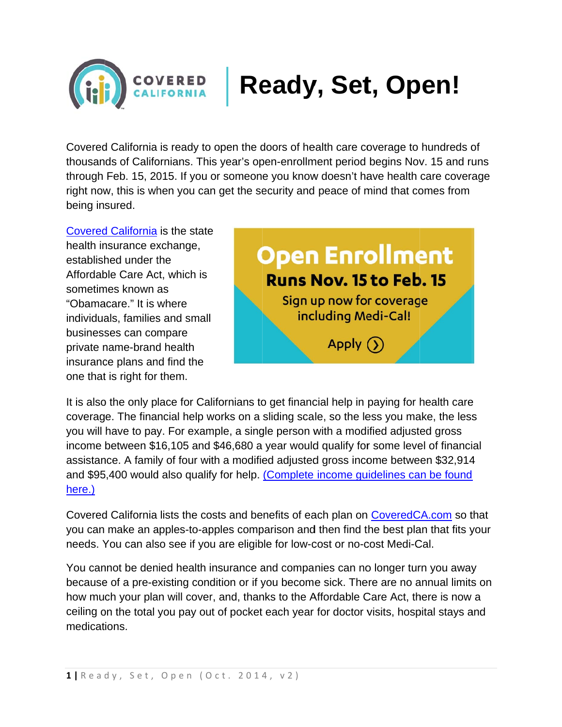

## **Ready, Set, Open!**

Covered California is ready to open the doors of health care coverage to hundreds of thousands of Californians. This year's open-enrollment period begins Nov. 15 and runs through Feb. 15, 2015. If you or someone you know doesn't have health care coverage right now, this is when you can get the security and peace of mind that comes from being insured.

**Covered California is the state** health insurance exchange, established under the Affordable Care Act. which is sometimes known as "Obamacare." It is where individuals, families and small businesses can compare private name-brand health insurance plans and find the one that is right for them.



It is also the only place for Californians to get financial help in paying for health care coverage. The financial help works on a sliding scale, so the less you make, the less you will have to pay. For example, a single person with a modified adjusted gross income between \$16,105 and \$46,680 a year would qualify for some level of financial assistance. A family of four with a modified adjusted gross income between \$32,914 and \$95,400 would also qualify for help. (Complete income guidelines can be found here.)

Covered California lists the costs and benefits of each plan on Covered CA.com so that you can make an apples-to-apples comparison and then find the best plan that fits your needs. You can also see if you are eligible for low-cost or no-cost Medi-Cal.

You cannot be denied health insurance and companies can no longer turn you away because of a pre-existing condition or if you become sick. There are no annual limits on how much your plan will cover, and, thanks to the Affordable Care Act, there is now a ceiling on the total you pay out of pocket each year for doctor visits, hospital stays and medications.